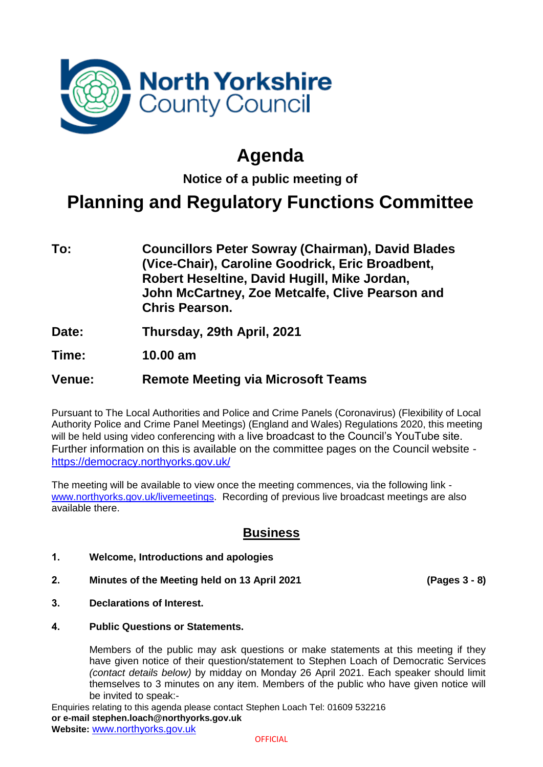

## **Agenda**

**Notice of a public meeting of**

## **Planning and Regulatory Functions Committee**

- **To: Councillors Peter Sowray (Chairman), David Blades (Vice-Chair), Caroline Goodrick, Eric Broadbent, Robert Heseltine, David Hugill, Mike Jordan, John McCartney, Zoe Metcalfe, Clive Pearson and Chris Pearson.**
- **Date: Thursday, 29th April, 2021**
- **Time: 10.00 am**

## **Venue: Remote Meeting via Microsoft Teams**

Pursuant to The Local Authorities and Police and Crime Panels (Coronavirus) (Flexibility of Local Authority Police and Crime Panel Meetings) (England and Wales) Regulations 2020, this meeting will be held using video conferencing with a live broadcast to the Council's YouTube site. Further information on this is available on the committee pages on the Council website <https://democracy.northyorks.gov.uk/>

The meeting will be available to view once the meeting commences, via the following link [www.northyorks.gov.uk/livemeetings.](http://www.northyorks.gov.uk/livemeetings) Recording of previous live broadcast meetings are also available there.

## **Business**

- **1. Welcome, Introductions and apologies**
- **2. Minutes of the Meeting held on 13 April 2021 (Pages 3 - 8)**

- **3. Declarations of Interest.**
- **4. Public Questions or Statements.**

Members of the public may ask questions or make statements at this meeting if they have given notice of their question/statement to Stephen Loach of Democratic Services *(contact details below)* by midday on Monday 26 April 2021. Each speaker should limit themselves to 3 minutes on any item. Members of the public who have given notice will be invited to speak:-

Enquiries relating to this agenda please contact Stephen Loach Tel: 01609 532216 **or e-mail stephen.loach@northyorks.gov.uk Website:** [www.northyorks.gov.uk](http://www.northyorks.gov.uk/)